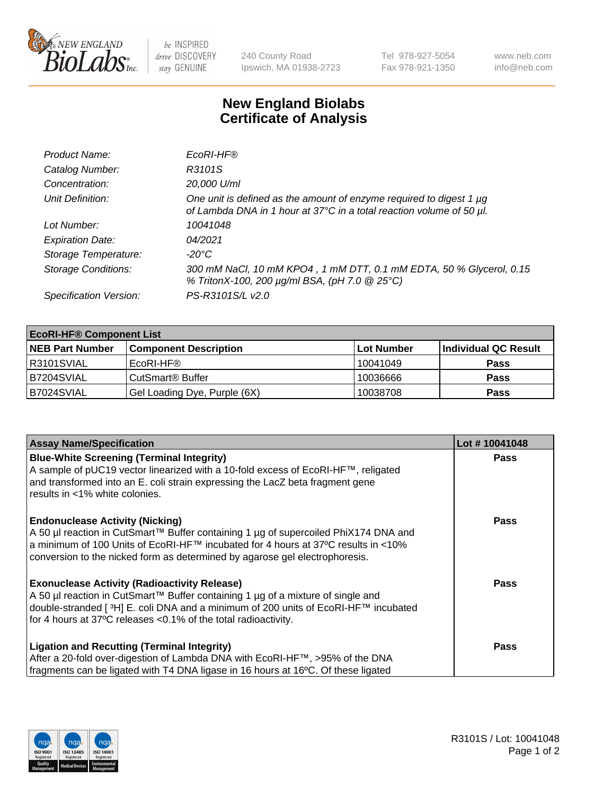

 $be$  INSPIRED drive DISCOVERY stay GENUINE

240 County Road Ipswich, MA 01938-2723 Tel 978-927-5054 Fax 978-921-1350 www.neb.com info@neb.com

## **New England Biolabs Certificate of Analysis**

| Product Name:              | EcoRI-HF®                                                                                                                                   |
|----------------------------|---------------------------------------------------------------------------------------------------------------------------------------------|
| Catalog Number:            | R3101S                                                                                                                                      |
| Concentration:             | 20,000 U/ml                                                                                                                                 |
| Unit Definition:           | One unit is defined as the amount of enzyme required to digest 1 µg<br>of Lambda DNA in 1 hour at 37°C in a total reaction volume of 50 µl. |
| Lot Number:                | 10041048                                                                                                                                    |
| <b>Expiration Date:</b>    | 04/2021                                                                                                                                     |
| Storage Temperature:       | -20°C                                                                                                                                       |
| <b>Storage Conditions:</b> | 300 mM NaCl, 10 mM KPO4, 1 mM DTT, 0.1 mM EDTA, 50 % Glycerol, 0.15<br>% TritonX-100, 200 µg/ml BSA, (pH 7.0 @ 25°C)                        |
| Specification Version:     | PS-R3101S/L v2.0                                                                                                                            |

| <b>EcoRI-HF® Component List</b> |                              |            |                      |  |  |
|---------------------------------|------------------------------|------------|----------------------|--|--|
| <b>NEB Part Number</b>          | <b>Component Description</b> | Lot Number | Individual QC Result |  |  |
| IR3101SVIAL                     | EcoRI-HF®                    | 10041049   | <b>Pass</b>          |  |  |
| B7204SVIAL                      | CutSmart <sup>®</sup> Buffer | 10036666   | <b>Pass</b>          |  |  |
| B7024SVIAL                      | Gel Loading Dye, Purple (6X) | 10038708   | <b>Pass</b>          |  |  |

| <b>Assay Name/Specification</b>                                                                                                                                                                                                                                                                               | Lot #10041048 |
|---------------------------------------------------------------------------------------------------------------------------------------------------------------------------------------------------------------------------------------------------------------------------------------------------------------|---------------|
| <b>Blue-White Screening (Terminal Integrity)</b><br>A sample of pUC19 vector linearized with a 10-fold excess of EcoRI-HF™, religated<br>and transformed into an E. coli strain expressing the LacZ beta fragment gene                                                                                        | <b>Pass</b>   |
| results in <1% white colonies.                                                                                                                                                                                                                                                                                |               |
| <b>Endonuclease Activity (Nicking)</b><br>A 50 µl reaction in CutSmart™ Buffer containing 1 µg of supercoiled PhiX174 DNA and<br>  a minimum of 100 Units of EcoRI-HF™ incubated for 4 hours at 37°C results in <10%<br>conversion to the nicked form as determined by agarose gel electrophoresis.           | <b>Pass</b>   |
| <b>Exonuclease Activity (Radioactivity Release)</b><br>  A 50 µl reaction in CutSmart™ Buffer containing 1 µg of a mixture of single and<br>double-stranded [ <sup>3</sup> H] E. coli DNA and a minimum of 200 units of EcoRI-HF™ incubated<br>for 4 hours at 37°C releases <0.1% of the total radioactivity. | Pass          |
| <b>Ligation and Recutting (Terminal Integrity)</b>                                                                                                                                                                                                                                                            | <b>Pass</b>   |
| After a 20-fold over-digestion of Lambda DNA with EcoRI-HF™, >95% of the DNA                                                                                                                                                                                                                                  |               |
| fragments can be ligated with T4 DNA ligase in 16 hours at 16°C. Of these ligated                                                                                                                                                                                                                             |               |